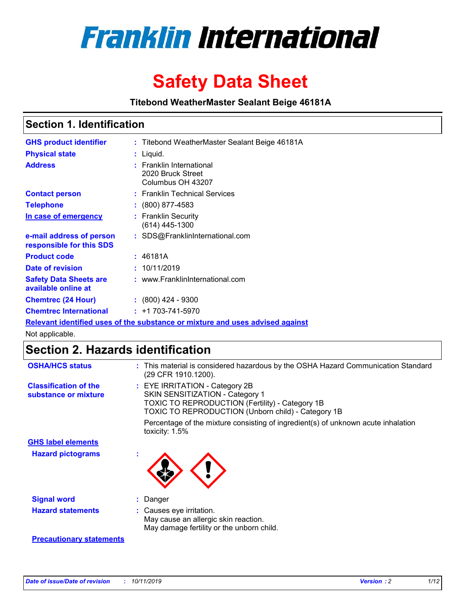

# **Safety Data Sheet**

**Titebond WeatherMaster Sealant Beige 46181A**

### **Section 1. Identification**

| <b>GHS product identifier</b>                        | : Titebond WeatherMaster Sealant Beige 46181A                                 |
|------------------------------------------------------|-------------------------------------------------------------------------------|
| <b>Physical state</b>                                | : Liquid.                                                                     |
| <b>Address</b>                                       | <b>Franklin International</b><br>2020 Bruck Street<br>Columbus OH 43207       |
| <b>Contact person</b>                                | : Franklin Technical Services                                                 |
| <b>Telephone</b>                                     | : (800) 877-4583                                                              |
| In case of emergency                                 | : Franklin Security<br>$(614)$ 445-1300                                       |
| e-mail address of person<br>responsible for this SDS | : SDS@FranklinInternational.com                                               |
| <b>Product code</b>                                  | : 46181A                                                                      |
| Date of revision                                     | : 10/11/2019                                                                  |
| <b>Safety Data Sheets are</b><br>available online at | : www.FranklinInternational.com                                               |
| <b>Chemtrec (24 Hour)</b>                            | $\div$ (800) 424 - 9300                                                       |
| <b>Chemtrec International</b>                        | $: +1703 - 741 - 5970$                                                        |
|                                                      | Relevant identified uses of the substance or mixture and uses advised against |

Not applicable.

## **Section 2. Hazards identification**

| <b>OSHA/HCS status</b>                               | : This material is considered hazardous by the OSHA Hazard Communication Standard<br>(29 CFR 1910.1200).                                                                                 |
|------------------------------------------------------|------------------------------------------------------------------------------------------------------------------------------------------------------------------------------------------|
| <b>Classification of the</b><br>substance or mixture | : EYE IRRITATION - Category 2B<br>SKIN SENSITIZATION - Category 1<br><b>TOXIC TO REPRODUCTION (Fertility) - Category 1B</b><br><b>TOXIC TO REPRODUCTION (Unborn child) - Category 1B</b> |
|                                                      | Percentage of the mixture consisting of ingredient(s) of unknown acute inhalation<br>toxicity: $1.5\%$                                                                                   |
| <b>GHS label elements</b>                            |                                                                                                                                                                                          |
| <b>Hazard pictograms</b>                             |                                                                                                                                                                                          |
| <b>Signal word</b>                                   | : Danger                                                                                                                                                                                 |
| <b>Hazard statements</b>                             | : Causes eye irritation.<br>May cause an allergic skin reaction.<br>May damage fertility or the unborn child.                                                                            |
| <b>Precautionary statements</b>                      |                                                                                                                                                                                          |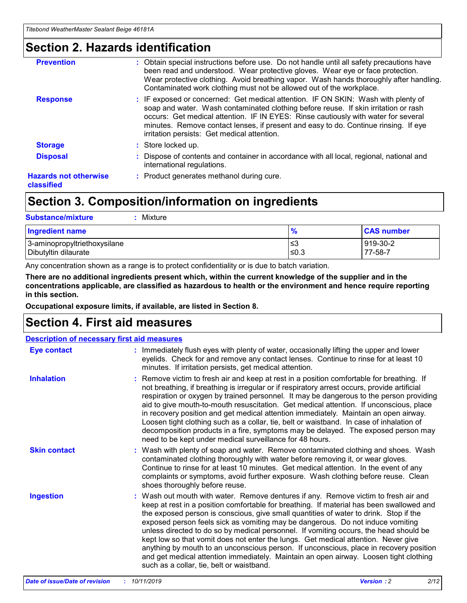### **Section 2. Hazards identification**

| <b>Prevention</b>                          | : Obtain special instructions before use. Do not handle until all safety precautions have<br>been read and understood. Wear protective gloves. Wear eye or face protection.<br>Wear protective clothing. Avoid breathing vapor. Wash hands thoroughly after handling.<br>Contaminated work clothing must not be allowed out of the workplace.                                                        |
|--------------------------------------------|------------------------------------------------------------------------------------------------------------------------------------------------------------------------------------------------------------------------------------------------------------------------------------------------------------------------------------------------------------------------------------------------------|
| <b>Response</b>                            | : IF exposed or concerned: Get medical attention. IF ON SKIN: Wash with plenty of<br>soap and water. Wash contaminated clothing before reuse. If skin irritation or rash<br>occurs: Get medical attention. IF IN EYES: Rinse cautiously with water for several<br>minutes. Remove contact lenses, if present and easy to do. Continue rinsing. If eye<br>irritation persists: Get medical attention. |
| <b>Storage</b>                             | : Store locked up.                                                                                                                                                                                                                                                                                                                                                                                   |
| <b>Disposal</b>                            | : Dispose of contents and container in accordance with all local, regional, national and<br>international regulations.                                                                                                                                                                                                                                                                               |
| <b>Hazards not otherwise</b><br>classified | : Product generates methanol during cure.                                                                                                                                                                                                                                                                                                                                                            |
|                                            |                                                                                                                                                                                                                                                                                                                                                                                                      |

### **Section 3. Composition/information on ingredients**

| <b>Substance/mixture</b><br>Mixture                  |               |                     |
|------------------------------------------------------|---------------|---------------------|
| <b>Ingredient name</b>                               | $\frac{9}{6}$ | <b>CAS number</b>   |
| 3-aminopropyltriethoxysilane<br>Dibutyltin dilaurate | ≤3<br>$≤0.3$  | 919-30-2<br>77-58-7 |

Any concentration shown as a range is to protect confidentiality or is due to batch variation.

**There are no additional ingredients present which, within the current knowledge of the supplier and in the concentrations applicable, are classified as hazardous to health or the environment and hence require reporting in this section.**

**Occupational exposure limits, if available, are listed in Section 8.**

### **Section 4. First aid measures**

| <b>Description of necessary first aid measures</b> |                                                                                                                                                                                                                                                                                                                                                                                                                                                                                                                                                                                                                                                                                                                                                                           |  |  |  |
|----------------------------------------------------|---------------------------------------------------------------------------------------------------------------------------------------------------------------------------------------------------------------------------------------------------------------------------------------------------------------------------------------------------------------------------------------------------------------------------------------------------------------------------------------------------------------------------------------------------------------------------------------------------------------------------------------------------------------------------------------------------------------------------------------------------------------------------|--|--|--|
| <b>Eye contact</b>                                 | : Immediately flush eyes with plenty of water, occasionally lifting the upper and lower<br>eyelids. Check for and remove any contact lenses. Continue to rinse for at least 10<br>minutes. If irritation persists, get medical attention.                                                                                                                                                                                                                                                                                                                                                                                                                                                                                                                                 |  |  |  |
| <b>Inhalation</b>                                  | : Remove victim to fresh air and keep at rest in a position comfortable for breathing. If<br>not breathing, if breathing is irregular or if respiratory arrest occurs, provide artificial<br>respiration or oxygen by trained personnel. It may be dangerous to the person providing<br>aid to give mouth-to-mouth resuscitation. Get medical attention. If unconscious, place<br>in recovery position and get medical attention immediately. Maintain an open airway.<br>Loosen tight clothing such as a collar, tie, belt or waistband. In case of inhalation of<br>decomposition products in a fire, symptoms may be delayed. The exposed person may<br>need to be kept under medical surveillance for 48 hours.                                                       |  |  |  |
| <b>Skin contact</b>                                | : Wash with plenty of soap and water. Remove contaminated clothing and shoes. Wash<br>contaminated clothing thoroughly with water before removing it, or wear gloves.<br>Continue to rinse for at least 10 minutes. Get medical attention. In the event of any<br>complaints or symptoms, avoid further exposure. Wash clothing before reuse. Clean<br>shoes thoroughly before reuse.                                                                                                                                                                                                                                                                                                                                                                                     |  |  |  |
| <b>Ingestion</b>                                   | : Wash out mouth with water. Remove dentures if any. Remove victim to fresh air and<br>keep at rest in a position comfortable for breathing. If material has been swallowed and<br>the exposed person is conscious, give small quantities of water to drink. Stop if the<br>exposed person feels sick as vomiting may be dangerous. Do not induce vomiting<br>unless directed to do so by medical personnel. If vomiting occurs, the head should be<br>kept low so that vomit does not enter the lungs. Get medical attention. Never give<br>anything by mouth to an unconscious person. If unconscious, place in recovery position<br>and get medical attention immediately. Maintain an open airway. Loosen tight clothing<br>such as a collar, tie, belt or waistband. |  |  |  |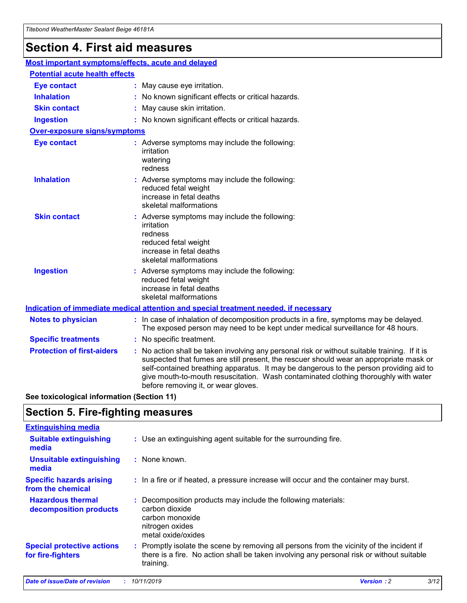## **Section 4. First aid measures**

| Most important symptoms/effects, acute and delayed |                                       |                                                                                                                                                                                                                                                                                                                                                                                                                 |  |  |  |
|----------------------------------------------------|---------------------------------------|-----------------------------------------------------------------------------------------------------------------------------------------------------------------------------------------------------------------------------------------------------------------------------------------------------------------------------------------------------------------------------------------------------------------|--|--|--|
|                                                    | <b>Potential acute health effects</b> |                                                                                                                                                                                                                                                                                                                                                                                                                 |  |  |  |
| <b>Eye contact</b>                                 |                                       | : May cause eye irritation.                                                                                                                                                                                                                                                                                                                                                                                     |  |  |  |
| <b>Inhalation</b>                                  |                                       | : No known significant effects or critical hazards.                                                                                                                                                                                                                                                                                                                                                             |  |  |  |
| <b>Skin contact</b>                                |                                       | : May cause skin irritation.                                                                                                                                                                                                                                                                                                                                                                                    |  |  |  |
| <b>Ingestion</b>                                   |                                       | : No known significant effects or critical hazards.                                                                                                                                                                                                                                                                                                                                                             |  |  |  |
| Over-exposure signs/symptoms                       |                                       |                                                                                                                                                                                                                                                                                                                                                                                                                 |  |  |  |
| <b>Eye contact</b>                                 |                                       | : Adverse symptoms may include the following:<br>irritation<br>watering<br>redness                                                                                                                                                                                                                                                                                                                              |  |  |  |
| <b>Inhalation</b>                                  |                                       | : Adverse symptoms may include the following:<br>reduced fetal weight<br>increase in fetal deaths<br>skeletal malformations                                                                                                                                                                                                                                                                                     |  |  |  |
| <b>Skin contact</b>                                |                                       | : Adverse symptoms may include the following:<br>irritation<br>redness<br>reduced fetal weight<br>increase in fetal deaths<br>skeletal malformations                                                                                                                                                                                                                                                            |  |  |  |
| <b>Ingestion</b>                                   |                                       | : Adverse symptoms may include the following:<br>reduced fetal weight<br>increase in fetal deaths<br>skeletal malformations                                                                                                                                                                                                                                                                                     |  |  |  |
|                                                    |                                       | <b>Indication of immediate medical attention and special treatment needed, if necessary</b>                                                                                                                                                                                                                                                                                                                     |  |  |  |
| <b>Notes to physician</b>                          |                                       | : In case of inhalation of decomposition products in a fire, symptoms may be delayed.<br>The exposed person may need to be kept under medical surveillance for 48 hours.                                                                                                                                                                                                                                        |  |  |  |
| <b>Specific treatments</b>                         |                                       | : No specific treatment.                                                                                                                                                                                                                                                                                                                                                                                        |  |  |  |
| <b>Protection of first-aiders</b>                  |                                       | : No action shall be taken involving any personal risk or without suitable training. If it is<br>suspected that fumes are still present, the rescuer should wear an appropriate mask or<br>self-contained breathing apparatus. It may be dangerous to the person providing aid to<br>give mouth-to-mouth resuscitation. Wash contaminated clothing thoroughly with water<br>before removing it, or wear gloves. |  |  |  |

**See toxicological information (Section 11)**

### **Section 5. Fire-fighting measures**

| <b>Extinguishing media</b>                             |                                                                                                                                                                                                     |
|--------------------------------------------------------|-----------------------------------------------------------------------------------------------------------------------------------------------------------------------------------------------------|
| <b>Suitable extinguishing</b><br>media                 | : Use an extinguishing agent suitable for the surrounding fire.                                                                                                                                     |
| <b>Unsuitable extinguishing</b><br>media               | : None known.                                                                                                                                                                                       |
| <b>Specific hazards arising</b><br>from the chemical   | : In a fire or if heated, a pressure increase will occur and the container may burst.                                                                                                               |
| <b>Hazardous thermal</b><br>decomposition products     | : Decomposition products may include the following materials:<br>carbon dioxide<br>carbon monoxide<br>nitrogen oxides<br>metal oxide/oxides                                                         |
| <b>Special protective actions</b><br>for fire-fighters | : Promptly isolate the scene by removing all persons from the vicinity of the incident if<br>there is a fire. No action shall be taken involving any personal risk or without suitable<br>training. |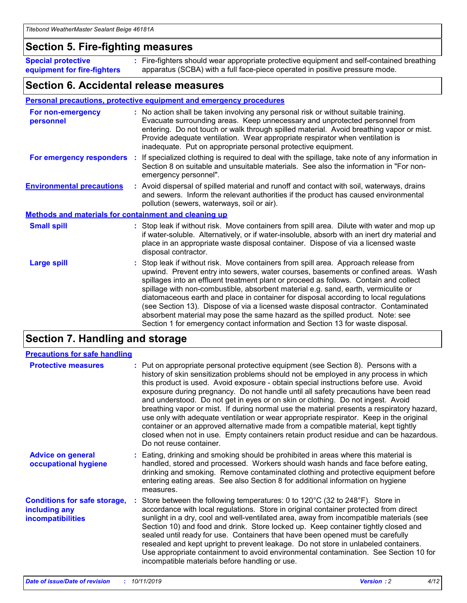### **Section 5. Fire-fighting measures**

**Special protective equipment for fire-fighters** Fire-fighters should wear appropriate protective equipment and self-contained breathing **:** apparatus (SCBA) with a full face-piece operated in positive pressure mode.

### **Section 6. Accidental release measures**

#### **Personal precautions, protective equipment and emergency procedures**

| For non-emergency<br>personnel                               | : No action shall be taken involving any personal risk or without suitable training.<br>Evacuate surrounding areas. Keep unnecessary and unprotected personnel from<br>entering. Do not touch or walk through spilled material. Avoid breathing vapor or mist.<br>Provide adequate ventilation. Wear appropriate respirator when ventilation is<br>inadequate. Put on appropriate personal protective equipment.                                                                                                                                                                                                                                                                                             |
|--------------------------------------------------------------|--------------------------------------------------------------------------------------------------------------------------------------------------------------------------------------------------------------------------------------------------------------------------------------------------------------------------------------------------------------------------------------------------------------------------------------------------------------------------------------------------------------------------------------------------------------------------------------------------------------------------------------------------------------------------------------------------------------|
|                                                              | For emergency responders : If specialized clothing is required to deal with the spillage, take note of any information in<br>Section 8 on suitable and unsuitable materials. See also the information in "For non-<br>emergency personnel".                                                                                                                                                                                                                                                                                                                                                                                                                                                                  |
| <b>Environmental precautions</b>                             | : Avoid dispersal of spilled material and runoff and contact with soil, waterways, drains<br>and sewers. Inform the relevant authorities if the product has caused environmental<br>pollution (sewers, waterways, soil or air).                                                                                                                                                                                                                                                                                                                                                                                                                                                                              |
| <b>Methods and materials for containment and cleaning up</b> |                                                                                                                                                                                                                                                                                                                                                                                                                                                                                                                                                                                                                                                                                                              |
| <b>Small spill</b>                                           | : Stop leak if without risk. Move containers from spill area. Dilute with water and mop up<br>if water-soluble. Alternatively, or if water-insoluble, absorb with an inert dry material and<br>place in an appropriate waste disposal container. Dispose of via a licensed waste<br>disposal contractor.                                                                                                                                                                                                                                                                                                                                                                                                     |
| <b>Large spill</b>                                           | : Stop leak if without risk. Move containers from spill area. Approach release from<br>upwind. Prevent entry into sewers, water courses, basements or confined areas. Wash<br>spillages into an effluent treatment plant or proceed as follows. Contain and collect<br>spillage with non-combustible, absorbent material e.g. sand, earth, vermiculite or<br>diatomaceous earth and place in container for disposal according to local regulations<br>(see Section 13). Dispose of via a licensed waste disposal contractor. Contaminated<br>absorbent material may pose the same hazard as the spilled product. Note: see<br>Section 1 for emergency contact information and Section 13 for waste disposal. |

### **Section 7. Handling and storage**

| <b>Precautions for safe handling</b>                                             |                                                                                                                                                                                                                                                                                                                                                                                                                                                                                                                                                                                                                                                                                                                                                                                                                                                  |
|----------------------------------------------------------------------------------|--------------------------------------------------------------------------------------------------------------------------------------------------------------------------------------------------------------------------------------------------------------------------------------------------------------------------------------------------------------------------------------------------------------------------------------------------------------------------------------------------------------------------------------------------------------------------------------------------------------------------------------------------------------------------------------------------------------------------------------------------------------------------------------------------------------------------------------------------|
| <b>Protective measures</b>                                                       | : Put on appropriate personal protective equipment (see Section 8). Persons with a<br>history of skin sensitization problems should not be employed in any process in which<br>this product is used. Avoid exposure - obtain special instructions before use. Avoid<br>exposure during pregnancy. Do not handle until all safety precautions have been read<br>and understood. Do not get in eyes or on skin or clothing. Do not ingest. Avoid<br>breathing vapor or mist. If during normal use the material presents a respiratory hazard,<br>use only with adequate ventilation or wear appropriate respirator. Keep in the original<br>container or an approved alternative made from a compatible material, kept tightly<br>closed when not in use. Empty containers retain product residue and can be hazardous.<br>Do not reuse container. |
| <b>Advice on general</b><br>occupational hygiene                                 | : Eating, drinking and smoking should be prohibited in areas where this material is<br>handled, stored and processed. Workers should wash hands and face before eating,<br>drinking and smoking. Remove contaminated clothing and protective equipment before<br>entering eating areas. See also Section 8 for additional information on hygiene<br>measures.                                                                                                                                                                                                                                                                                                                                                                                                                                                                                    |
| <b>Conditions for safe storage,</b><br>including any<br><b>incompatibilities</b> | : Store between the following temperatures: 0 to 120 $\degree$ C (32 to 248 $\degree$ F). Store in<br>accordance with local regulations. Store in original container protected from direct<br>sunlight in a dry, cool and well-ventilated area, away from incompatible materials (see<br>Section 10) and food and drink. Store locked up. Keep container tightly closed and<br>sealed until ready for use. Containers that have been opened must be carefully<br>resealed and kept upright to prevent leakage. Do not store in unlabeled containers.<br>Use appropriate containment to avoid environmental contamination. See Section 10 for<br>incompatible materials before handling or use.                                                                                                                                                   |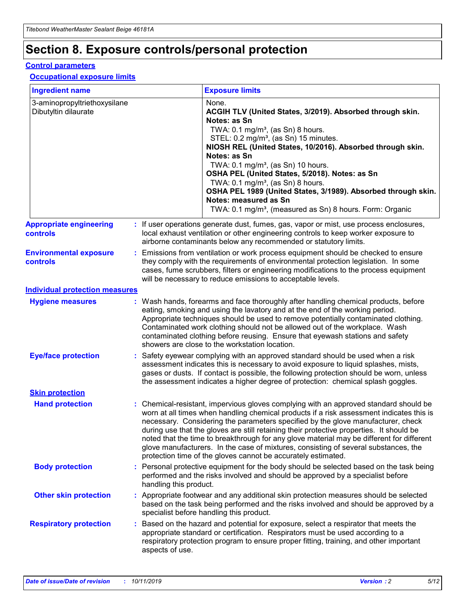## **Section 8. Exposure controls/personal protection**

#### **Control parameters**

#### **Occupational exposure limits**

| <b>Ingredient name</b>                               |    |                                          | <b>Exposure limits</b>                                                                                                                                                                                                                                                                                                                                                                                                                                                                                                                                                                                                 |
|------------------------------------------------------|----|------------------------------------------|------------------------------------------------------------------------------------------------------------------------------------------------------------------------------------------------------------------------------------------------------------------------------------------------------------------------------------------------------------------------------------------------------------------------------------------------------------------------------------------------------------------------------------------------------------------------------------------------------------------------|
| 3-aminopropyltriethoxysilane<br>Dibutyltin dilaurate |    |                                          | None.<br>ACGIH TLV (United States, 3/2019). Absorbed through skin.<br>Notes: as Sn<br>TWA: 0.1 mg/m <sup>3</sup> , (as Sn) 8 hours.<br>STEL: 0.2 mg/m <sup>3</sup> , (as Sn) 15 minutes.<br>NIOSH REL (United States, 10/2016). Absorbed through skin.<br>Notes: as Sn<br>TWA: 0.1 mg/m <sup>3</sup> , (as Sn) 10 hours.<br>OSHA PEL (United States, 5/2018). Notes: as Sn<br>TWA: $0.1 \text{ mg/m}^3$ , (as Sn) 8 hours.<br>OSHA PEL 1989 (United States, 3/1989). Absorbed through skin.<br>Notes: measured as Sn<br>TWA: 0.1 mg/m <sup>3</sup> , (measured as Sn) 8 hours. Form: Organic                           |
| <b>Appropriate engineering</b><br>controls           |    |                                          | : If user operations generate dust, fumes, gas, vapor or mist, use process enclosures,<br>local exhaust ventilation or other engineering controls to keep worker exposure to<br>airborne contaminants below any recommended or statutory limits.                                                                                                                                                                                                                                                                                                                                                                       |
| <b>Environmental exposure</b><br><b>controls</b>     |    |                                          | Emissions from ventilation or work process equipment should be checked to ensure<br>they comply with the requirements of environmental protection legislation. In some<br>cases, fume scrubbers, filters or engineering modifications to the process equipment<br>will be necessary to reduce emissions to acceptable levels.                                                                                                                                                                                                                                                                                          |
| <b>Individual protection measures</b>                |    |                                          |                                                                                                                                                                                                                                                                                                                                                                                                                                                                                                                                                                                                                        |
| <b>Hygiene measures</b>                              |    |                                          | : Wash hands, forearms and face thoroughly after handling chemical products, before<br>eating, smoking and using the lavatory and at the end of the working period.<br>Appropriate techniques should be used to remove potentially contaminated clothing.<br>Contaminated work clothing should not be allowed out of the workplace. Wash<br>contaminated clothing before reusing. Ensure that eyewash stations and safety<br>showers are close to the workstation location.                                                                                                                                            |
| <b>Eye/face protection</b>                           |    |                                          | : Safety eyewear complying with an approved standard should be used when a risk<br>assessment indicates this is necessary to avoid exposure to liquid splashes, mists,<br>gases or dusts. If contact is possible, the following protection should be worn, unless<br>the assessment indicates a higher degree of protection: chemical splash goggles.                                                                                                                                                                                                                                                                  |
| <b>Skin protection</b>                               |    |                                          |                                                                                                                                                                                                                                                                                                                                                                                                                                                                                                                                                                                                                        |
| <b>Hand protection</b>                               |    |                                          | : Chemical-resistant, impervious gloves complying with an approved standard should be<br>worn at all times when handling chemical products if a risk assessment indicates this is<br>necessary. Considering the parameters specified by the glove manufacturer, check<br>during use that the gloves are still retaining their protective properties. It should be<br>noted that the time to breakthrough for any glove material may be different for different<br>glove manufacturers. In the case of mixtures, consisting of several substances, the<br>protection time of the gloves cannot be accurately estimated. |
| <b>Body protection</b>                               |    | handling this product.                   | Personal protective equipment for the body should be selected based on the task being<br>performed and the risks involved and should be approved by a specialist before                                                                                                                                                                                                                                                                                                                                                                                                                                                |
| <b>Other skin protection</b>                         |    | specialist before handling this product. | : Appropriate footwear and any additional skin protection measures should be selected<br>based on the task being performed and the risks involved and should be approved by a                                                                                                                                                                                                                                                                                                                                                                                                                                          |
| <b>Respiratory protection</b>                        | ÷. | aspects of use.                          | Based on the hazard and potential for exposure, select a respirator that meets the<br>appropriate standard or certification. Respirators must be used according to a<br>respiratory protection program to ensure proper fitting, training, and other important                                                                                                                                                                                                                                                                                                                                                         |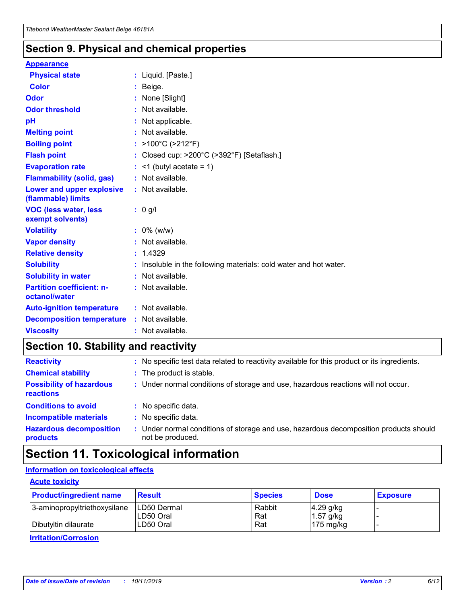### **Section 9. Physical and chemical properties**

#### **Appearance**

| <b>Physical state</b>                             | : Liquid. [Paste.]                                                |
|---------------------------------------------------|-------------------------------------------------------------------|
| <b>Color</b>                                      | Beige.                                                            |
| Odor                                              | None [Slight]                                                     |
| <b>Odor threshold</b>                             | : Not available.                                                  |
| рH                                                | : Not applicable.                                                 |
| <b>Melting point</b>                              | : Not available.                                                  |
| <b>Boiling point</b>                              | : $>100^{\circ}$ C ( $>212^{\circ}$ F)                            |
| <b>Flash point</b>                                | : Closed cup: >200°C (>392°F) [Setaflash.]                        |
| <b>Evaporation rate</b>                           | $:$ <1 (butyl acetate = 1)                                        |
| <b>Flammability (solid, gas)</b>                  | : Not available.                                                  |
| Lower and upper explosive<br>(flammable) limits   | : Not available.                                                  |
| <b>VOC (less water, less</b><br>exempt solvents)  | $: 0$ g/l                                                         |
| <b>Volatility</b>                                 | $: 0\%$ (w/w)                                                     |
| <b>Vapor density</b>                              | : Not available.                                                  |
| <b>Relative density</b>                           | : 1.4329                                                          |
| <b>Solubility</b>                                 | : Insoluble in the following materials: cold water and hot water. |
| <b>Solubility in water</b>                        | : Not available.                                                  |
| <b>Partition coefficient: n-</b><br>octanol/water | : Not available.                                                  |
| <b>Auto-ignition temperature</b>                  | : Not available.                                                  |
| <b>Decomposition temperature</b>                  | : Not available.                                                  |
| <b>Viscosity</b>                                  | $:$ Not available.                                                |

### **Section 10. Stability and reactivity**

| <b>Reactivity</b>                            |    | : No specific test data related to reactivity available for this product or its ingredients.            |
|----------------------------------------------|----|---------------------------------------------------------------------------------------------------------|
| <b>Chemical stability</b>                    |    | : The product is stable.                                                                                |
| <b>Possibility of hazardous</b><br>reactions |    | : Under normal conditions of storage and use, hazardous reactions will not occur.                       |
| <b>Conditions to avoid</b>                   |    | : No specific data.                                                                                     |
| <b>Incompatible materials</b>                | ٠. | No specific data.                                                                                       |
| <b>Hazardous decomposition</b><br>products   | ÷. | Under normal conditions of storage and use, hazardous decomposition products should<br>not be produced. |

### **Section 11. Toxicological information**

### **Information on toxicological effects**

#### **Acute toxicity**

| <b>Product/ingredient name</b> | <b>Result</b>           | <b>Species</b> | <b>Dose</b>                | <b>Exposure</b> |
|--------------------------------|-------------------------|----------------|----------------------------|-----------------|
| 3-aminopropyltriethoxysilane   | <b>ILD50 Dermal</b>     | Rabbit         | 4.29 g/kg                  |                 |
| Dibutyltin dilaurate           | ILD50 Oral<br>LD50 Oral | Rat<br>Rat     | $1.57$ g/kg<br>175 $mg/kg$ |                 |
|                                |                         |                |                            |                 |

**Irritation/Corrosion**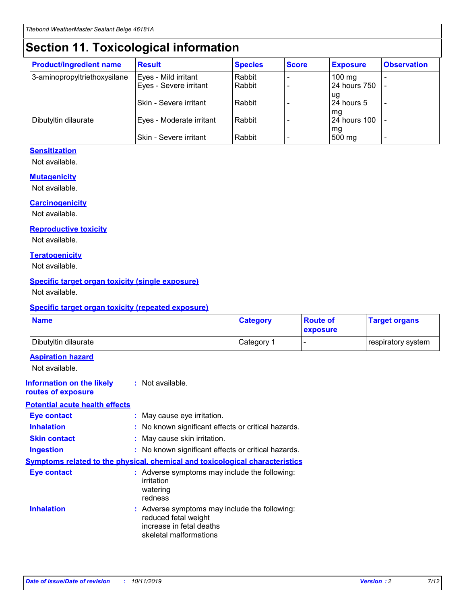## **Section 11. Toxicological information**

| <b>Product/ingredient name</b> | <b>Result</b>            | <b>Species</b> | <b>Score</b> | <b>Exposure</b>     | <b>Observation</b> |
|--------------------------------|--------------------------|----------------|--------------|---------------------|--------------------|
| 3-aminopropyltriethoxysilane   | Eyes - Mild irritant     | Rabbit         |              | $100 \text{ mg}$    |                    |
|                                | Eyes - Severe irritant   | Rabbit         |              | 24 hours 750        |                    |
|                                |                          |                |              | ug                  |                    |
|                                | Skin - Severe irritant   | Rabbit         |              | 24 hours 5          |                    |
|                                |                          |                |              | mq                  |                    |
| Dibutyltin dilaurate           | Eyes - Moderate irritant | Rabbit         |              | <b>24 hours 100</b> |                    |
|                                | Skin - Severe irritant   | Rabbit         |              | mg<br>500 mg        |                    |
|                                |                          |                |              |                     |                    |

### **Sensitization**

Not available.

#### **Mutagenicity**

Not available.

#### **Carcinogenicity**

Not available.

#### **Reproductive toxicity**

Not available.

#### **Teratogenicity**

Not available.

#### **Specific target organ toxicity (single exposure)**

Not available.

#### **Specific target organ toxicity (repeated exposure)**

| <b>Name</b>                                                                  |                                                                                                                             | <b>Category</b> | <b>Route of</b><br>exposure  | <b>Target organs</b> |
|------------------------------------------------------------------------------|-----------------------------------------------------------------------------------------------------------------------------|-----------------|------------------------------|----------------------|
| Dibutyltin dilaurate                                                         |                                                                                                                             | Category 1      | $\qquad \qquad \blacksquare$ | respiratory system   |
| <b>Aspiration hazard</b><br>Not available.                                   |                                                                                                                             |                 |                              |                      |
| <b>Information on the likely</b><br>routes of exposure                       | : Not available.                                                                                                            |                 |                              |                      |
| <b>Potential acute health effects</b>                                        |                                                                                                                             |                 |                              |                      |
| <b>Eye contact</b>                                                           | : May cause eye irritation.                                                                                                 |                 |                              |                      |
| <b>Inhalation</b>                                                            | : No known significant effects or critical hazards.                                                                         |                 |                              |                      |
| <b>Skin contact</b>                                                          | : May cause skin irritation.                                                                                                |                 |                              |                      |
| <b>Ingestion</b>                                                             | : No known significant effects or critical hazards.                                                                         |                 |                              |                      |
| Symptoms related to the physical, chemical and toxicological characteristics |                                                                                                                             |                 |                              |                      |
| <b>Eye contact</b>                                                           | : Adverse symptoms may include the following:<br>irritation<br>watering<br>redness                                          |                 |                              |                      |
| <b>Inhalation</b>                                                            | : Adverse symptoms may include the following:<br>reduced fetal weight<br>increase in fetal deaths<br>skeletal malformations |                 |                              |                      |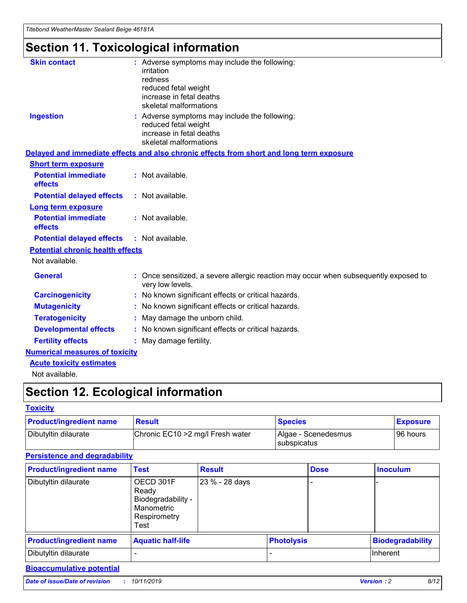## **Section 11. Toxicological information**

| <b>Skin contact</b>                     | : Adverse symptoms may include the following:                                                            |
|-----------------------------------------|----------------------------------------------------------------------------------------------------------|
|                                         | irritation                                                                                               |
|                                         | redness                                                                                                  |
|                                         | reduced fetal weight                                                                                     |
|                                         | increase in fetal deaths                                                                                 |
|                                         | skeletal malformations                                                                                   |
| <b>Ingestion</b>                        | : Adverse symptoms may include the following:                                                            |
|                                         | reduced fetal weight                                                                                     |
|                                         | increase in fetal deaths                                                                                 |
|                                         | skeletal malformations                                                                                   |
|                                         | Delayed and immediate effects and also chronic effects from short and long term exposure                 |
| <b>Short term exposure</b>              |                                                                                                          |
| <b>Potential immediate</b>              | : Not available.                                                                                         |
| effects                                 |                                                                                                          |
| <b>Potential delayed effects</b>        | : Not available.                                                                                         |
| Long term exposure                      |                                                                                                          |
| <b>Potential immediate</b>              | : Not available.                                                                                         |
| effects                                 |                                                                                                          |
| <b>Potential delayed effects</b>        | : Not available.                                                                                         |
| <b>Potential chronic health effects</b> |                                                                                                          |
| Not available.                          |                                                                                                          |
| <b>General</b>                          | : Once sensitized, a severe allergic reaction may occur when subsequently exposed to<br>very low levels. |
| <b>Carcinogenicity</b>                  | : No known significant effects or critical hazards.                                                      |
| <b>Mutagenicity</b>                     | : No known significant effects or critical hazards.                                                      |
| <b>Teratogenicity</b>                   | May damage the unborn child.                                                                             |
| <b>Developmental effects</b>            | : No known significant effects or critical hazards.                                                      |
| <b>Fertility effects</b>                | May damage fertility.                                                                                    |
| <b>Numerical measures of toxicity</b>   |                                                                                                          |
| <b>Acute toxicity estimates</b>         |                                                                                                          |
| الملحلة والمستحيط والمسالم              |                                                                                                          |

Not available.

## **Section 12. Ecological information**

#### **Toxicity**

| <b>Product/ingredient name</b> | <b>Result</b>                     | <b>Species</b>                       | <b>Exposure</b> |
|--------------------------------|-----------------------------------|--------------------------------------|-----------------|
| Dibutyltin dilaurate           | Chronic EC10 > 2 mg/l Fresh water | Algae - Scenedesmus<br>I subspicatus | l 96 hours      |

### **Persistence and degradability**

| <b>Product/ingredient name</b> | <b>Test</b>                                                                    | <b>Result</b>  |                   | <b>Dose</b> | <b>Inoculum</b>         |
|--------------------------------|--------------------------------------------------------------------------------|----------------|-------------------|-------------|-------------------------|
| Dibutyltin dilaurate           | OECD 301F<br>Ready<br>Biodegradability -<br>Manometric<br>Respirometry<br>Test | 23 % - 28 days |                   |             |                         |
| <b>Product/ingredient name</b> | <b>Aquatic half-life</b>                                                       |                | <b>Photolysis</b> |             | <b>Biodegradability</b> |
| Dibutyltin dilaurate           |                                                                                |                |                   |             | Inherent                |

### **Bioaccumulative potential**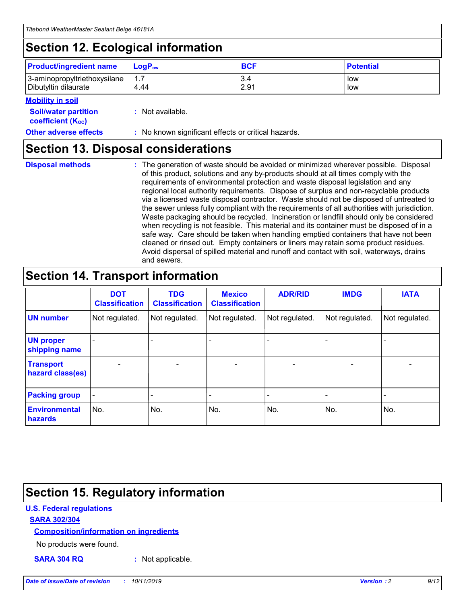## **Section 12. Ecological information**

| <b>Product/ingredient name</b> | $LoaPow$ | <b>BCF</b> | <b>Potential</b> |
|--------------------------------|----------|------------|------------------|
| 3-aminopropyltriethoxysilane   | 1.7      | 3.4        | low              |
| Dibutyltin dilaurate           | 4.44     | 2.91       | low              |

#### **Mobility in soil**

| <b>Soil/water partition</b><br>coefficient (K <sub>oc</sub> ) | : Not available.                                    |
|---------------------------------------------------------------|-----------------------------------------------------|
| <b>Other adverse effects</b>                                  | : No known significant effects or critical hazards. |

### **Section 13. Disposal considerations**

| <b>Disposal methods</b> |
|-------------------------|

**Disposal methods** : The generation of waste should be avoided or minimized wherever possible. Disposal of this product, solutions and any by-products should at all times comply with the requirements of environmental protection and waste disposal legislation and any regional local authority requirements. Dispose of surplus and non-recyclable products via a licensed waste disposal contractor. Waste should not be disposed of untreated to the sewer unless fully compliant with the requirements of all authorities with jurisdiction. Waste packaging should be recycled. Incineration or landfill should only be considered when recycling is not feasible. This material and its container must be disposed of in a safe way. Care should be taken when handling emptied containers that have not been cleaned or rinsed out. Empty containers or liners may retain some product residues. Avoid dispersal of spilled material and runoff and contact with soil, waterways, drains and sewers.

## **Section 14. Transport information**

|                                      | <b>DOT</b><br><b>Classification</b> | <b>TDG</b><br><b>Classification</b> | <b>Mexico</b><br><b>Classification</b> | <b>ADR/RID</b>           | <b>IMDG</b>              | <b>IATA</b>              |
|--------------------------------------|-------------------------------------|-------------------------------------|----------------------------------------|--------------------------|--------------------------|--------------------------|
| <b>UN number</b>                     | Not regulated.                      | Not regulated.                      | Not regulated.                         | Not regulated.           | Not regulated.           | Not regulated.           |
| <b>UN proper</b><br>shipping name    | $\qquad \qquad \blacksquare$        |                                     |                                        |                          |                          |                          |
| <b>Transport</b><br>hazard class(es) | $\blacksquare$                      | $\blacksquare$                      | $\blacksquare$                         | $\overline{\phantom{a}}$ | $\blacksquare$           | $\blacksquare$           |
| <b>Packing group</b>                 | $\overline{\phantom{a}}$            | $\overline{\phantom{0}}$            | $\qquad \qquad \blacksquare$           | -                        | $\overline{\phantom{0}}$ | $\overline{\phantom{a}}$ |
| <b>Environmental</b><br>hazards      | No.                                 | No.                                 | No.                                    | No.                      | No.                      | No.                      |

## **Section 15. Regulatory information**

#### **U.S. Federal regulations**

#### **SARA 302/304**

#### **Composition/information on ingredients**

No products were found.

**SARA 304 RQ :** Not applicable.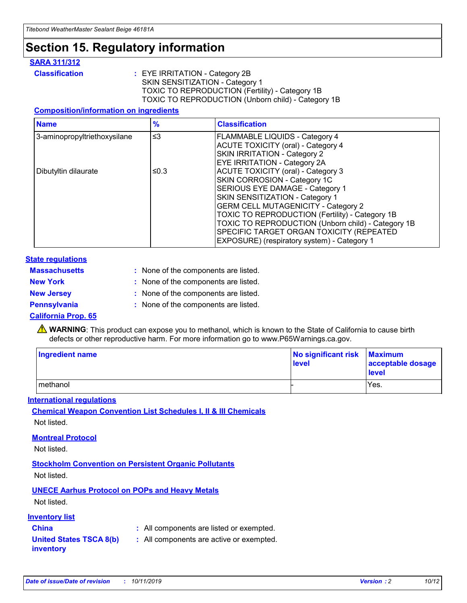## **Section 15. Regulatory information**

#### **SARA 311/312**

**Classification :** EYE IRRITATION - Category 2B SKIN SENSITIZATION - Category 1 TOXIC TO REPRODUCTION (Fertility) - Category 1B TOXIC TO REPRODUCTION (Unborn child) - Category 1B

#### **Composition/information on ingredients**

| <b>Name</b>                  | $\frac{9}{6}$ | <b>Classification</b>                                                                                            |
|------------------------------|---------------|------------------------------------------------------------------------------------------------------------------|
| 3-aminopropyltriethoxysilane | $\leq$ 3      | <b>FLAMMABLE LIQUIDS - Category 4</b><br><b>ACUTE TOXICITY (oral) - Category 4</b>                               |
|                              |               | SKIN IRRITATION - Category 2<br>EYE IRRITATION - Category 2A                                                     |
| Dibutyltin dilaurate         | ≤0.3          | ACUTE TOXICITY (oral) - Category 3<br>SKIN CORROSION - Category 1C                                               |
|                              |               | SERIOUS EYE DAMAGE - Category 1<br>SKIN SENSITIZATION - Category 1<br><b>GERM CELL MUTAGENICITY - Category 2</b> |
|                              |               | TOXIC TO REPRODUCTION (Fertility) - Category 1B<br>TOXIC TO REPRODUCTION (Unborn child) - Category 1B            |
|                              |               | SPECIFIC TARGET ORGAN TOXICITY (REPEATED<br>EXPOSURE) (respiratory system) - Category 1                          |

#### **State regulations**

| <b>Massachusetts</b> | : None of the components are listed. |
|----------------------|--------------------------------------|
| <b>New York</b>      | : None of the components are listed. |
| <b>New Jersey</b>    | : None of the components are listed. |
| <b>Pennsylvania</b>  | : None of the components are listed. |

#### **California Prop. 65**

**A** WARNING: This product can expose you to methanol, which is known to the State of California to cause birth defects or other reproductive harm. For more information go to www.P65Warnings.ca.gov.

| <b>Ingredient name</b> | No significant risk Maximum<br>level | acceptable dosage<br>level |
|------------------------|--------------------------------------|----------------------------|
| methanol               |                                      | Yes.                       |

#### **International regulations**

**Chemical Weapon Convention List Schedules I, II & III Chemicals** Not listed.

#### **Montreal Protocol**

Not listed.

#### **Stockholm Convention on Persistent Organic Pollutants**

Not listed.

### **UNECE Aarhus Protocol on POPs and Heavy Metals**

Not listed.

#### **Inventory list**

### **China :** All components are listed or exempted.

#### **United States TSCA 8(b) inventory :** All components are active or exempted.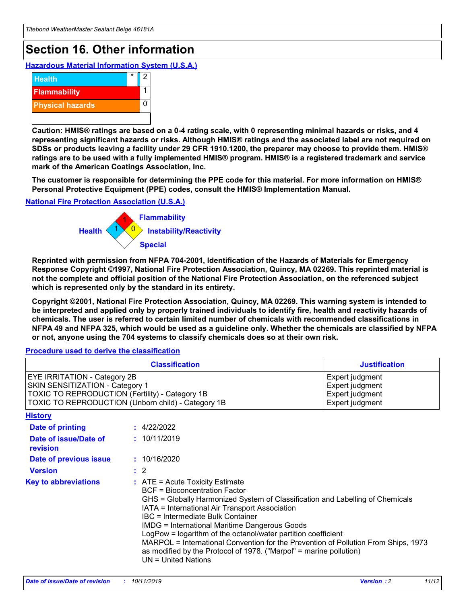## **Section 16. Other information**

**Hazardous Material Information System (U.S.A.)**



**Caution: HMIS® ratings are based on a 0-4 rating scale, with 0 representing minimal hazards or risks, and 4 representing significant hazards or risks. Although HMIS® ratings and the associated label are not required on SDSs or products leaving a facility under 29 CFR 1910.1200, the preparer may choose to provide them. HMIS® ratings are to be used with a fully implemented HMIS® program. HMIS® is a registered trademark and service mark of the American Coatings Association, Inc.**

**The customer is responsible for determining the PPE code for this material. For more information on HMIS® Personal Protective Equipment (PPE) codes, consult the HMIS® Implementation Manual.**

#### **National Fire Protection Association (U.S.A.)**



**Reprinted with permission from NFPA 704-2001, Identification of the Hazards of Materials for Emergency Response Copyright ©1997, National Fire Protection Association, Quincy, MA 02269. This reprinted material is not the complete and official position of the National Fire Protection Association, on the referenced subject which is represented only by the standard in its entirety.**

**Copyright ©2001, National Fire Protection Association, Quincy, MA 02269. This warning system is intended to be interpreted and applied only by properly trained individuals to identify fire, health and reactivity hazards of chemicals. The user is referred to certain limited number of chemicals with recommended classifications in NFPA 49 and NFPA 325, which would be used as a guideline only. Whether the chemicals are classified by NFPA or not, anyone using the 704 systems to classify chemicals does so at their own risk.**

**Procedure used to derive the classification**

|                                                                                                                    | <b>Classification</b>                                                                                                                            | <b>Justification</b>                                                                                                                                                                                                                                                                                                                                                                                                 |  |
|--------------------------------------------------------------------------------------------------------------------|--------------------------------------------------------------------------------------------------------------------------------------------------|----------------------------------------------------------------------------------------------------------------------------------------------------------------------------------------------------------------------------------------------------------------------------------------------------------------------------------------------------------------------------------------------------------------------|--|
| EYE IRRITATION - Category 2B<br>SKIN SENSITIZATION - Category 1<br>TOXIC TO REPRODUCTION (Fertility) - Category 1B | TOXIC TO REPRODUCTION (Unborn child) - Category 1B                                                                                               | Expert judgment<br>Expert judgment<br>Expert judgment<br>Expert judgment                                                                                                                                                                                                                                                                                                                                             |  |
| <b>History</b>                                                                                                     |                                                                                                                                                  |                                                                                                                                                                                                                                                                                                                                                                                                                      |  |
| Date of printing                                                                                                   | : 4/22/2022                                                                                                                                      |                                                                                                                                                                                                                                                                                                                                                                                                                      |  |
| Date of issue/Date of<br>revision                                                                                  | : 10/11/2019                                                                                                                                     |                                                                                                                                                                                                                                                                                                                                                                                                                      |  |
| Date of previous issue                                                                                             | : 10/16/2020                                                                                                                                     |                                                                                                                                                                                                                                                                                                                                                                                                                      |  |
| <b>Version</b>                                                                                                     | $\therefore$ 2                                                                                                                                   |                                                                                                                                                                                                                                                                                                                                                                                                                      |  |
| <b>Key to abbreviations</b>                                                                                        | $\therefore$ ATE = Acute Toxicity Estimate<br><b>BCF</b> = Bioconcentration Factor<br>IBC = Intermediate Bulk Container<br>$UN = United Nations$ | GHS = Globally Harmonized System of Classification and Labelling of Chemicals<br>IATA = International Air Transport Association<br><b>IMDG = International Maritime Dangerous Goods</b><br>LogPow = logarithm of the octanol/water partition coefficient<br>MARPOL = International Convention for the Prevention of Pollution From Ships, 1973<br>as modified by the Protocol of 1978. ("Marpol" = marine pollution) |  |